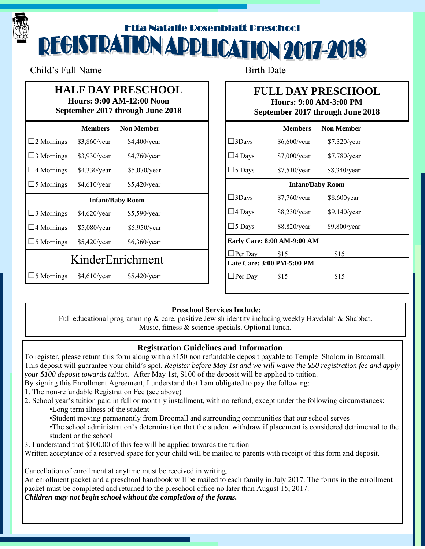# Etta Natalie Rosenblatt Preschool<br>DEGISTRATION ADDLICATION 2017-2018

Child's Full Name Birth Date

## **HALF DAY PRESCHOOL**

#### **Hours: 9:00 AM-12:00 Noon September 2017 through June 2018**

|                         | <b>Members</b> | <b>Non Member</b> |  |  |
|-------------------------|----------------|-------------------|--|--|
| $\square$ 2 Mornings    | \$3,860/year   | \$4,400/year      |  |  |
| $\square$ 3 Mornings    | \$3,930/year   | \$4,760/year      |  |  |
| $\Box$ 4 Mornings       | \$4,330/year   | \$5,070/year      |  |  |
| $\square$ 5 Mornings    | $$4,610$ /year | \$5,420/year      |  |  |
| <b>Infant/Baby Room</b> |                |                   |  |  |
| $\square$ 3 Mornings    | \$4,620/year   | \$5,590/year      |  |  |
| $\Box$ 4 Mornings       | \$5,080/year   | \$5,950/year      |  |  |
| $\Box$ 5 Mornings       | \$5,420/year   | \$6,360/year      |  |  |
| KinderEnrichment        |                |                   |  |  |
| 5 Mornings              | $$4,610$ /year | \$5,420/year      |  |  |

## **FULL DAY PRESCHOOL Hours: 9:00 AM-3:00 PM**

**September 2017 through June 2018** 

|                                    | <b>Members</b> | <b>Non Member</b> |  |  |
|------------------------------------|----------------|-------------------|--|--|
| $\square$ 3Days                    | $$6,600$ /year | $$7,320$ /year    |  |  |
| $\square$ 4 Days                   | \$7,000/year   | $$7,780$ /year    |  |  |
| $\exists$ 5 Days                   | \$7,510/year   | $$8,340$ /year    |  |  |
| <b>Infant/Baby Room</b>            |                |                   |  |  |
| $\square$ 3Days                    | $$7,760$ /year | \$8,600 year      |  |  |
| $\square$ 4 Days                   | \$8,230/year   | $$9,140$ /year    |  |  |
| $\square$ 5 Days                   | $$8,820$ /year | $$9,800$ /year    |  |  |
| <b>Early Care: 8:00 AM-9:00 AM</b> |                |                   |  |  |
| $\Box$ Per Day                     | \$15           | \$15              |  |  |
| Late Care: 3:00 PM-5:00 PM         |                |                   |  |  |
| $\Box$ Per Day                     | \$15           | \$15              |  |  |
|                                    |                |                   |  |  |

## **Preschool Services Include:**

Full educational programming & care, positive Jewish identity including weekly Havdalah & Shabbat. Music, fitness & science specials. Optional lunch.

## **Registration Guidelines and Information**

To register, please return this form along with a \$150 non refundable deposit payable to Temple Sholom in Broomall. This deposit will guarantee your child's spot. *Register before May 1st and we will waive the \$50 registration fee and apply your \$100 deposit towards tuition.* After May 1st, \$100 of the deposit will be applied to tuition.

- By signing this Enrollment Agreement, I understand that I am obligated to pay the following:
- 1. The non-refundable Registration Fee (see above)
- 2. School year's tuition paid in full or monthly installment, with no refund, except under the following circumstances:
	- •Long term illness of the student
	- •Student moving permanently from Broomall and surrounding communities that our school serves
	- •The school administration's determination that the student withdraw if placement is considered detrimental to the student or the school
- 3. I understand that \$100.00 of this fee will be applied towards the tuition
- Written acceptance of a reserved space for your child will be mailed to parents with receipt of this form and deposit.

Cancellation of enrollment at anytime must be received in writing.

An enrollment packet and a preschool handbook will be mailed to each family in July 2017. The forms in the enrollment packet must be completed and returned to the preschool office no later than August 15, 2017. *Children may not begin school without the completion of the forms.*